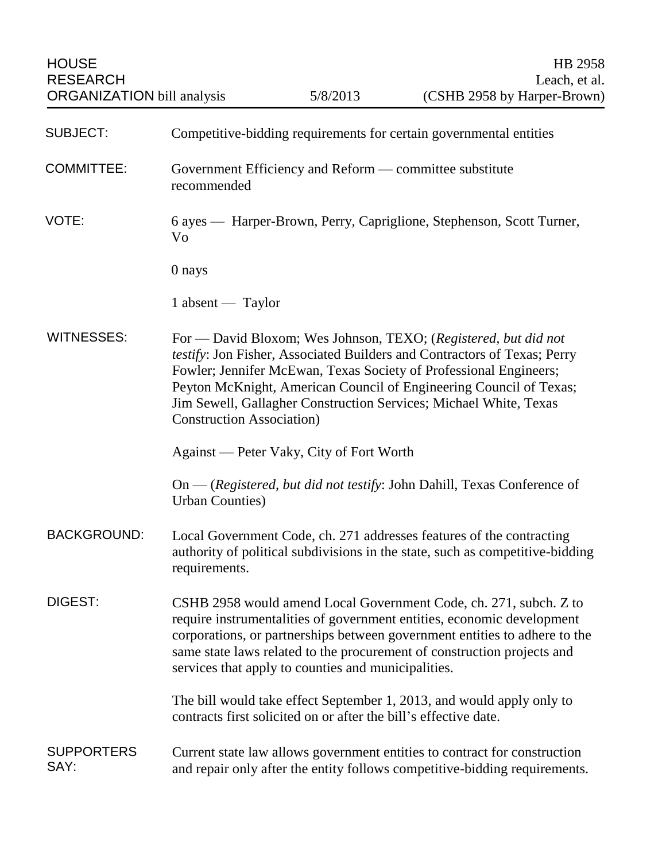| <b>SUBJECT:</b>           | Competitive-bidding requirements for certain governmental entities                                                                                                                                                                                                                                                                                                                               |
|---------------------------|--------------------------------------------------------------------------------------------------------------------------------------------------------------------------------------------------------------------------------------------------------------------------------------------------------------------------------------------------------------------------------------------------|
| <b>COMMITTEE:</b>         | Government Efficiency and Reform — committee substitute<br>recommended                                                                                                                                                                                                                                                                                                                           |
| VOTE:                     | 6 ayes — Harper-Brown, Perry, Capriglione, Stephenson, Scott Turner,<br>Vo                                                                                                                                                                                                                                                                                                                       |
|                           | 0 nays                                                                                                                                                                                                                                                                                                                                                                                           |
|                           | $1$ absent — Taylor                                                                                                                                                                                                                                                                                                                                                                              |
| <b>WITNESSES:</b>         | For — David Bloxom; Wes Johnson, TEXO; (Registered, but did not<br>testify: Jon Fisher, Associated Builders and Contractors of Texas; Perry<br>Fowler; Jennifer McEwan, Texas Society of Professional Engineers;<br>Peyton McKnight, American Council of Engineering Council of Texas;<br>Jim Sewell, Gallagher Construction Services; Michael White, Texas<br><b>Construction Association</b> ) |
|                           | Against — Peter Vaky, City of Fort Worth                                                                                                                                                                                                                                                                                                                                                         |
|                           | $On - (registered, but did not testify: John Dahill, Texas Conference of$<br><b>Urban Counties</b> )                                                                                                                                                                                                                                                                                             |
| <b>BACKGROUND:</b>        | Local Government Code, ch. 271 addresses features of the contracting<br>authority of political subdivisions in the state, such as competitive-bidding<br>requirements.                                                                                                                                                                                                                           |
| <b>DIGEST:</b>            | CSHB 2958 would amend Local Government Code, ch. 271, subch. Z to<br>require instrumentalities of government entities, economic development<br>corporations, or partnerships between government entities to adhere to the<br>same state laws related to the procurement of construction projects and<br>services that apply to counties and municipalities.                                      |
|                           | The bill would take effect September 1, 2013, and would apply only to<br>contracts first solicited on or after the bill's effective date.                                                                                                                                                                                                                                                        |
| <b>SUPPORTERS</b><br>SAY: | Current state law allows government entities to contract for construction<br>and repair only after the entity follows competitive-bidding requirements.                                                                                                                                                                                                                                          |